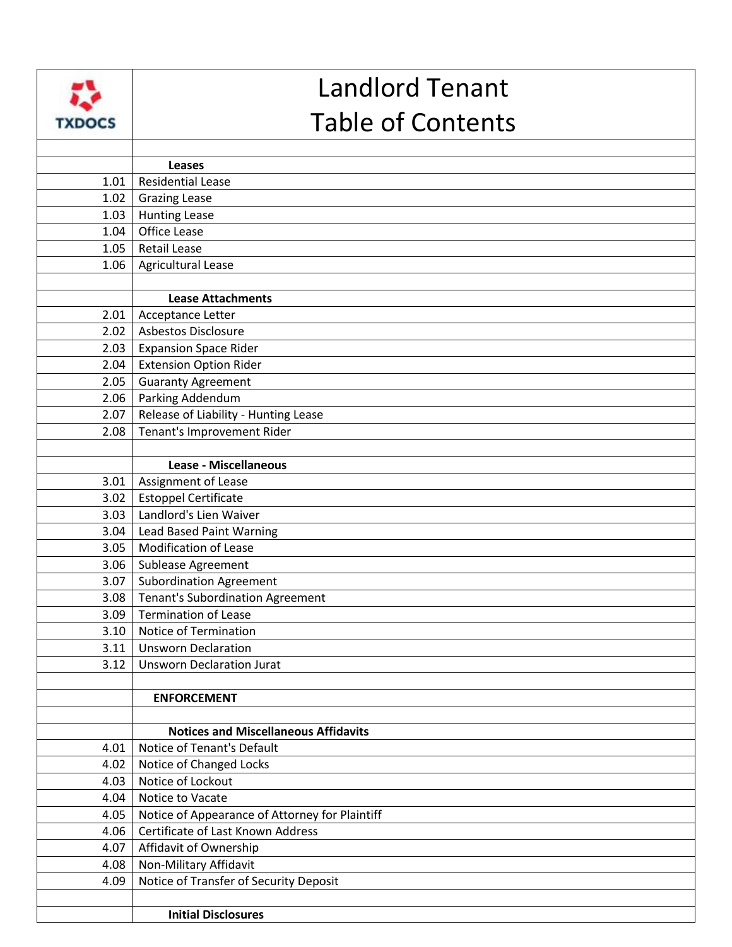|               | <b>Landlord Tenant</b>                         |
|---------------|------------------------------------------------|
| <b>TXDOCS</b> | <b>Table of Contents</b>                       |
|               |                                                |
|               | <b>Leases</b>                                  |
| 1.01          | <b>Residential Lease</b>                       |
| 1.02          | <b>Grazing Lease</b>                           |
| 1.03          | <b>Hunting Lease</b><br><b>Office Lease</b>    |
| 1.04<br>1.05  | <b>Retail Lease</b>                            |
| 1.06          | Agricultural Lease                             |
|               |                                                |
|               | <b>Lease Attachments</b>                       |
| 2.01          | Acceptance Letter                              |
| 2.02          | Asbestos Disclosure                            |
| 2.03          | <b>Expansion Space Rider</b>                   |
| 2.04          | <b>Extension Option Rider</b>                  |
| 2.05          | <b>Guaranty Agreement</b>                      |
| 2.06          | Parking Addendum                               |
| 2.07          | Release of Liability - Hunting Lease           |
| 2.08          | Tenant's Improvement Rider                     |
|               |                                                |
|               | <b>Lease - Miscellaneous</b>                   |
| 3.01          | Assignment of Lease                            |
| 3.02          | <b>Estoppel Certificate</b>                    |
| 3.03          | Landlord's Lien Waiver                         |
| 3.04          | <b>Lead Based Paint Warning</b>                |
| 3.05          | <b>Modification of Lease</b>                   |
| 3.06          | Sublease Agreement                             |
| 3.07          | <b>Subordination Agreement</b>                 |
|               | 3.08   Tenant's Subordination Agreement        |
| 3.09          | <b>Termination of Lease</b>                    |
| 3.10          | Notice of Termination                          |
| 3.11          | <b>Unsworn Declaration</b>                     |
| 3.12          | <b>Unsworn Declaration Jurat</b>               |
|               |                                                |
|               | <b>ENFORCEMENT</b>                             |
|               | <b>Notices and Miscellaneous Affidavits</b>    |
| 4.01          | Notice of Tenant's Default                     |
| 4.02          | Notice of Changed Locks                        |
| 4.03          | Notice of Lockout                              |
| 4.04          | Notice to Vacate                               |
| 4.05          | Notice of Appearance of Attorney for Plaintiff |
| 4.06          | Certificate of Last Known Address              |
| 4.07          | Affidavit of Ownership                         |
| 4.08          | Non-Military Affidavit                         |
| 4.09          | Notice of Transfer of Security Deposit         |
|               |                                                |
|               | <b>Initial Disclosures</b>                     |